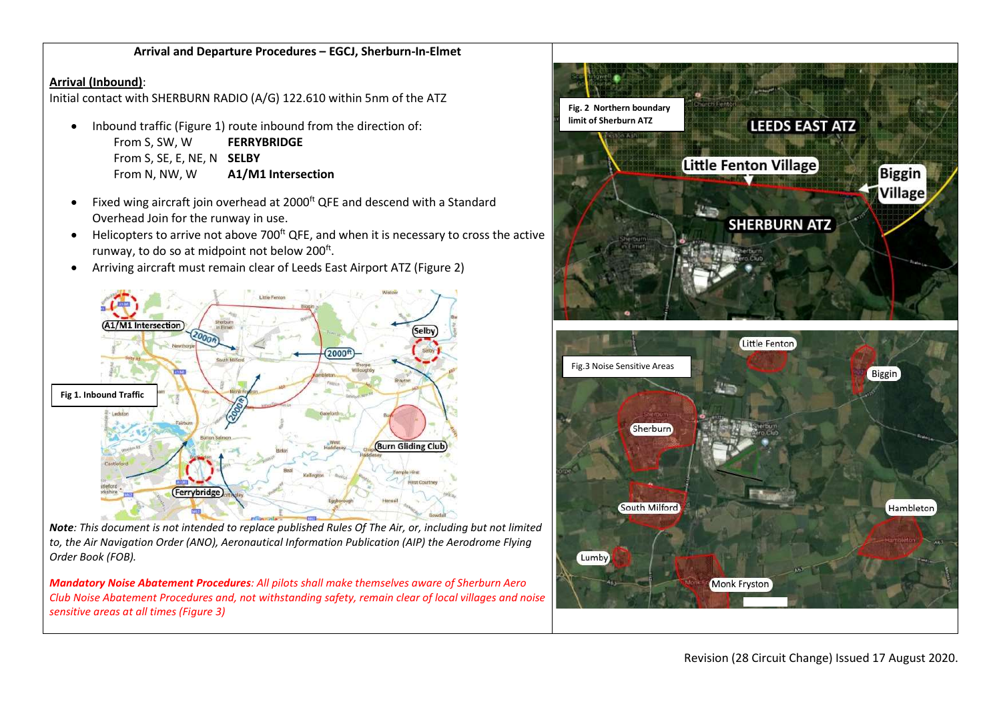## Arrival and Departure Procedures – EGCJ, Sherburn-In-Elmet

## Arrival (Inbound):

Initial contact with SHERBURN RADIO (A/G) 122.610 within 5nm of the ATZ

- Inbound traffic (Figure 1) route inbound from the direction of: From S, SW, W **FERRYBRIDGE** From S, SE, E, NE, N **SELBY** From N, NW, W A1/M1 Intersection
- Fixed wing aircraft join overhead at 2000<sup>ft</sup> QFE and descend with a Standard Overhead Join for the runway in use.
- $\bullet$  Helicopters to arrive not above 700<sup>ft</sup> QFE, and when it is necessary to cross the active runway, to do so at midpoint not below 200<sup>ft</sup>.
- Arriving aircraft must remain clear of Leeds East Airport ATZ (Figure 2)





Mandatory Noise Abatement Procedures: All pilots shall make themselves aware of Sherburn Aero Club Noise Abatement Procedures and, not withstanding safety, remain clear of local villages and noise sensitive areas at all times (Figure 3)